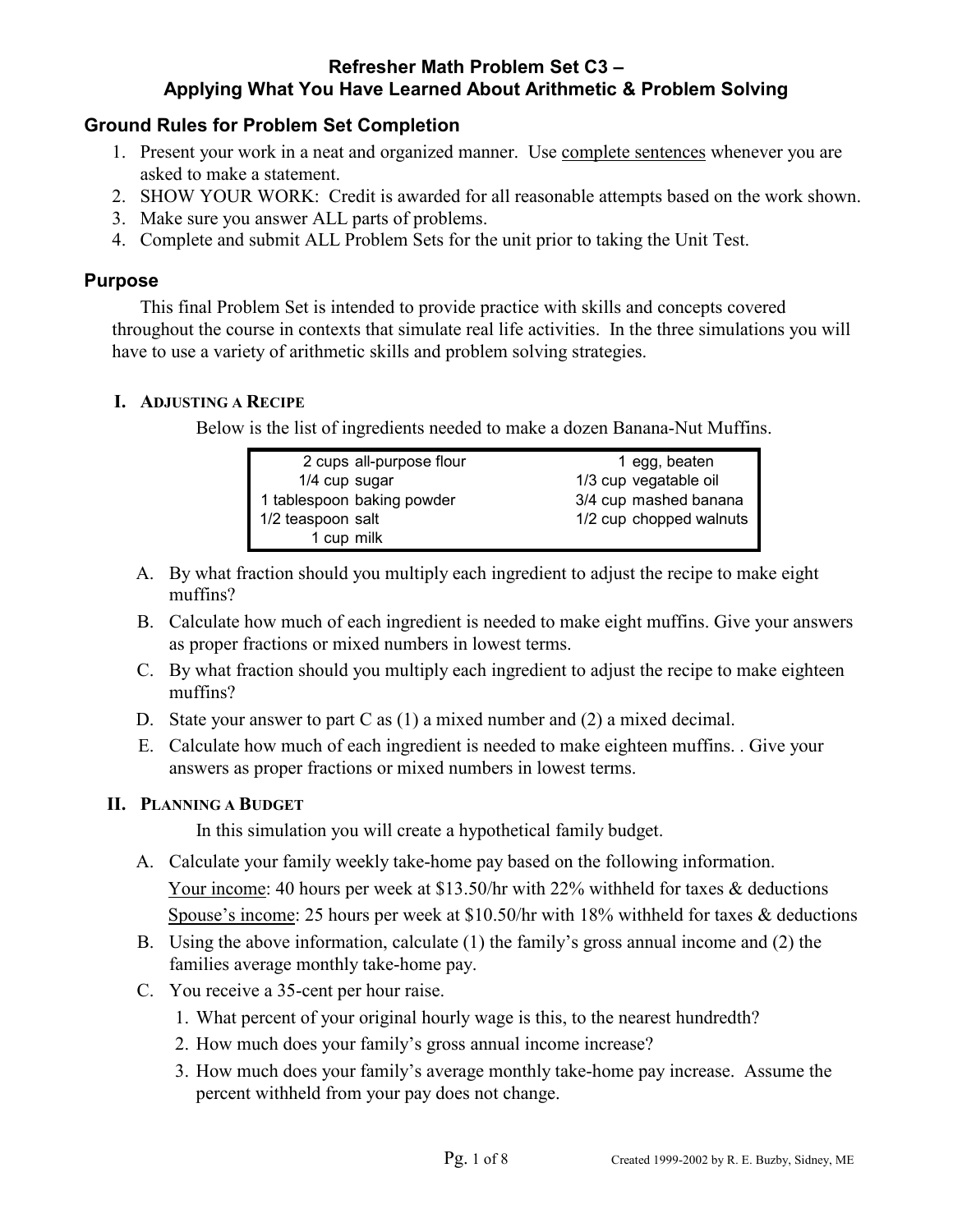# **Ground Rules for Problem Set Completion**

- 1. Present your work in a neat and organized manner. Use complete sentences whenever you are asked to make a statement.
- 2. SHOW YOUR WORK: Credit is awarded for all reasonable attempts based on the work shown.
- 3. Make sure you answer ALL parts of problems.
- 4. Complete and submit ALL Problem Sets for the unit prior to taking the Unit Test.

#### **Purpose**

This final Problem Set is intended to provide practice with skills and concepts covered throughout the course in contexts that simulate real life activities. In the three simulations you will have to use a variety of arithmetic skills and problem solving strategies.

#### **I. ADJUSTING A RECIPE**

Below is the list of ingredients needed to make a dozen Banana-Nut Muffins.

| 2 cups all-purpose flour   | 1 egg, beaten           |
|----------------------------|-------------------------|
| 1/4 cup sugar              | 1/3 cup vegatable oil   |
| 1 tablespoon baking powder | 3/4 cup mashed banana   |
| 1/2 teaspoon salt          | 1/2 cup chopped walnuts |
| 1 cup milk                 |                         |

- A. By what fraction should you multiply each ingredient to adjust the recipe to make eight muffins?
- B. Calculate how much of each ingredient is needed to make eight muffins. Give your answers as proper fractions or mixed numbers in lowest terms.
- C. By what fraction should you multiply each ingredient to adjust the recipe to make eighteen muffins?
- D. State your answer to part C as (1) a mixed number and (2) a mixed decimal.
- E. Calculate how much of each ingredient is needed to make eighteen muffins. . Give your answers as proper fractions or mixed numbers in lowest terms.

#### **II. PLANNING A BUDGET**

In this simulation you will create a hypothetical family budget.

- A. Calculate your family weekly take-home pay based on the following information. Your income: 40 hours per week at \$13.50/hr with 22% withheld for taxes & deductions Spouse's income: 25 hours per week at \$10.50/hr with 18% withheld for taxes & deductions
- B. Using the above information, calculate (1) the family's gross annual income and (2) the families average monthly take-home pay.
- C. You receive a 35-cent per hour raise.
	- 1. What percent of your original hourly wage is this, to the nearest hundredth?
	- 2. How much does your family's gross annual income increase?
	- 3. How much does your family's average monthly take-home pay increase. Assume the percent withheld from your pay does not change.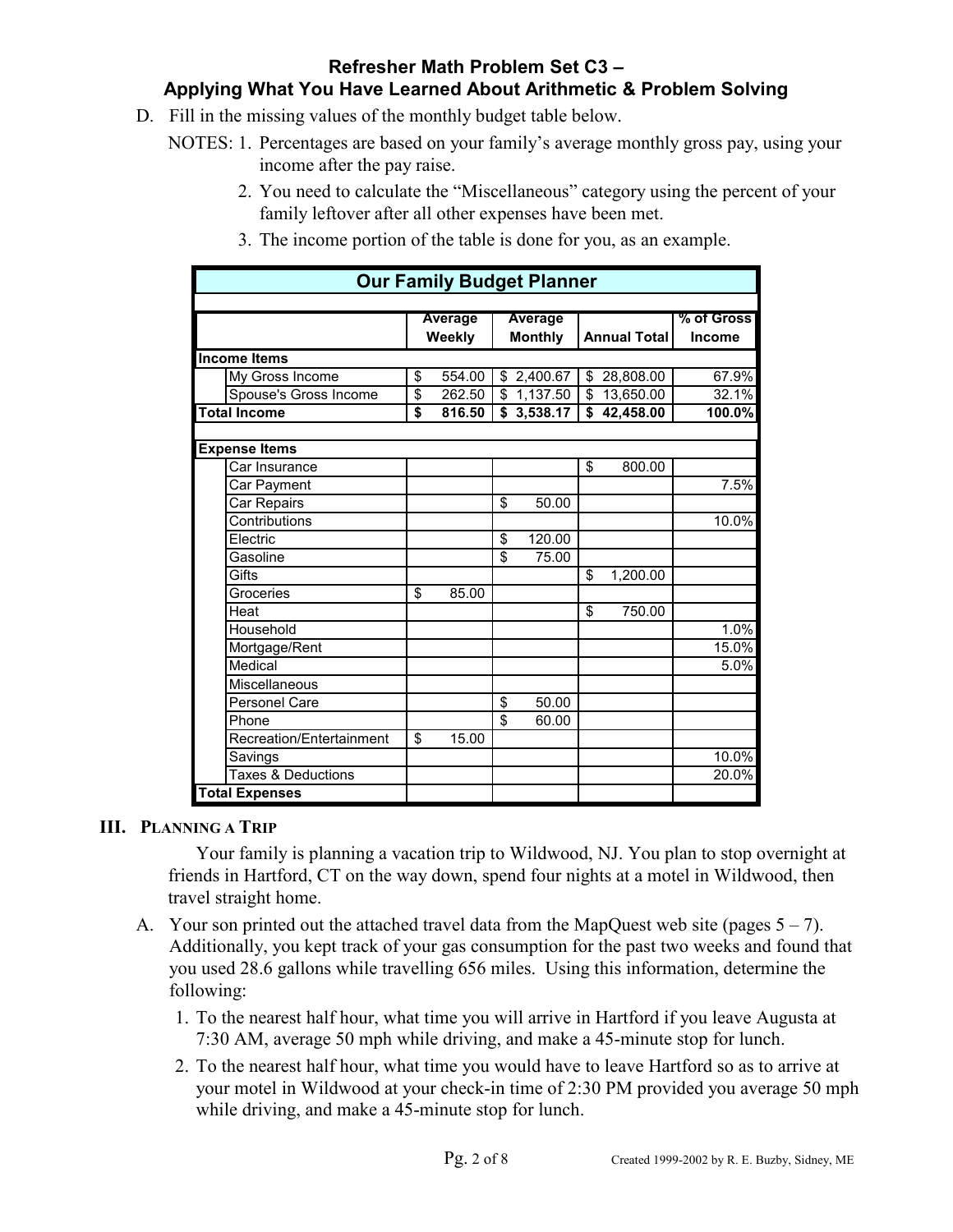- D. Fill in the missing values of the monthly budget table below.
	- NOTES: 1. Percentages are based on your family's average monthly gross pay, using your income after the pay raise.
		- 2. You need to calculate the "Miscellaneous" category using the percent of your family leftover after all other expenses have been met.
		- 3. The income portion of the table is done for you, as an example.

| <b>Our Family Budget Planner</b> |    |                |    |                   |    |                     |               |  |
|----------------------------------|----|----------------|----|-------------------|----|---------------------|---------------|--|
|                                  |    |                |    |                   |    |                     |               |  |
|                                  |    | <b>Average</b> |    | Average           |    |                     | % of Gross    |  |
|                                  |    | Weekly         |    | <b>Monthly</b>    |    | <b>Annual Total</b> | <b>Income</b> |  |
| <b>Income Items</b>              |    |                |    |                   |    |                     |               |  |
| My Gross Income                  | \$ | 554.00         |    | \$2,400.67        | \$ | 28,808.00           | 67.9%         |  |
| Spouse's Gross Income            | \$ | 262.50         |    | \$1,137.50        | \$ | 13,650.00           | 32.1%         |  |
| <b>Total Income</b>              | \$ | 816.50         |    | \$3,538.17        |    | \$42,458.00         | 100.0%        |  |
|                                  |    |                |    |                   |    |                     |               |  |
| <b>Expense Items</b>             |    |                |    |                   |    |                     |               |  |
| Car Insurance                    |    |                |    |                   | \$ | 800.00              |               |  |
| Car Payment                      |    |                |    |                   |    |                     | 7.5%          |  |
| Car Repairs                      |    |                | \$ | 50.00             |    |                     |               |  |
| Contributions                    |    |                |    |                   |    |                     | 10.0%         |  |
| Electric                         |    |                | \$ | 120.00            |    |                     |               |  |
| Gasoline                         |    |                | \$ | 75.00             |    |                     |               |  |
| Gifts                            |    |                |    |                   | \$ | 1,200.00            |               |  |
| Groceries                        | \$ | 85.00          |    |                   |    |                     |               |  |
| Heat                             |    |                |    |                   | \$ | 750.00              |               |  |
| Household                        |    |                |    |                   |    |                     | 1.0%          |  |
| Mortgage/Rent                    |    |                |    |                   |    |                     | 15.0%         |  |
| Medical                          |    |                |    |                   |    |                     | 5.0%          |  |
| Miscellaneous                    |    |                |    |                   |    |                     |               |  |
| <b>Personel Care</b>             |    |                | \$ | $\frac{1}{50.00}$ |    |                     |               |  |
| Phone                            |    |                | \$ | 60.00             |    |                     |               |  |
| Recreation/Entertainment         | \$ | 15.00          |    |                   |    |                     |               |  |
| Savings                          |    |                |    |                   |    |                     | 10.0%         |  |
| <b>Taxes &amp; Deductions</b>    |    |                |    |                   |    |                     | 20.0%         |  |
| <b>Total Expenses</b>            |    |                |    |                   |    |                     |               |  |

# **III. PLANNING A TRIP**

Your family is planning a vacation trip to Wildwood, NJ. You plan to stop overnight at friends in Hartford, CT on the way down, spend four nights at a motel in Wildwood, then travel straight home.

- A. Your son printed out the attached travel data from the MapQuest web site (pages  $5 7$ ). Additionally, you kept track of your gas consumption for the past two weeks and found that you used 28.6 gallons while travelling 656 miles. Using this information, determine the following:
	- 1. To the nearest half hour, what time you will arrive in Hartford if you leave Augusta at 7:30 AM, average 50 mph while driving, and make a 45-minute stop for lunch.
	- 2. To the nearest half hour, what time you would have to leave Hartford so as to arrive at your motel in Wildwood at your check-in time of 2:30 PM provided you average 50 mph while driving, and make a 45-minute stop for lunch.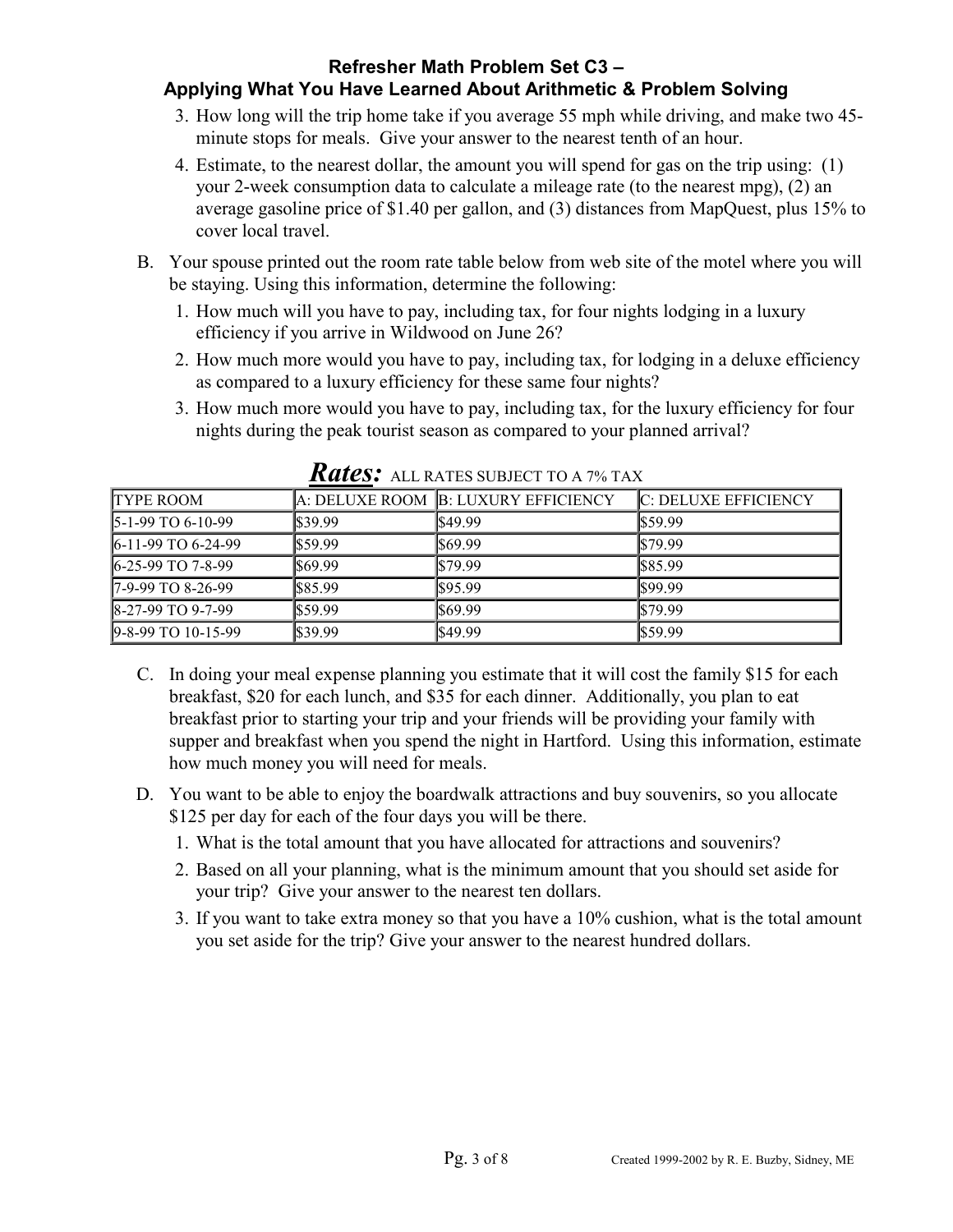# **Refresher Math Problem Set C3 –**

# **Applying What You Have Learned About Arithmetic & Problem Solving**

- 3. How long will the trip home take if you average 55 mph while driving, and make two 45 minute stops for meals. Give your answer to the nearest tenth of an hour.
- 4. Estimate, to the nearest dollar, the amount you will spend for gas on the trip using: (1) your 2-week consumption data to calculate a mileage rate (to the nearest mpg), (2) an average gasoline price of \$1.40 per gallon, and (3) distances from MapQuest, plus 15% to cover local travel.
- B. Your spouse printed out the room rate table below from web site of the motel where you will be staying. Using this information, determine the following:
	- 1. How much will you have to pay, including tax, for four nights lodging in a luxury efficiency if you arrive in Wildwood on June 26?
	- 2. How much more would you have to pay, including tax, for lodging in a deluxe efficiency as compared to a luxury efficiency for these same four nights?
	- 3. How much more would you have to pay, including tax, for the luxury efficiency for four nights during the peak tourist season as compared to your planned arrival?

| ITYPE ROOM         |                | A: DELUXE ROOM B: LUXURY EFFICIENCY | C: DELUXE EFFICIENCY |
|--------------------|----------------|-------------------------------------|----------------------|
| 5-1-99 TO 6-10-99  | <b>S</b> 39.99 | \$49.99                             | <b>S59.99</b>        |
| 6-11-99 TO 6-24-99 | \$59.99        | \$69.99                             | <b>S79.99</b>        |
| 6-25-99 TO 7-8-99  | IS69.99        | IS 79.99                            | \$85.99              |
| 7-9-99 TO 8-26-99  | \$85.99        | <b>S95.99</b>                       | <b>S99.99</b>        |
| 8-27-99 TO 9-7-99  | \$59.99        | \$69.99                             | \$79.99              |
| 9-8-99 TO 10-15-99 | \$39.99        | \$49.99                             | \$59.99              |

Rates: ALL RATES SUBJECT TO A 7% TAX

- C. In doing your meal expense planning you estimate that it will cost the family \$15 for each breakfast, \$20 for each lunch, and \$35 for each dinner. Additionally, you plan to eat breakfast prior to starting your trip and your friends will be providing your family with supper and breakfast when you spend the night in Hartford. Using this information, estimate how much money you will need for meals.
- D. You want to be able to enjoy the boardwalk attractions and buy souvenirs, so you allocate \$125 per day for each of the four days you will be there.
	- 1. What is the total amount that you have allocated for attractions and souvenirs?
	- 2. Based on all your planning, what is the minimum amount that you should set aside for your trip? Give your answer to the nearest ten dollars.
	- 3. If you want to take extra money so that you have a 10% cushion, what is the total amount you set aside for the trip? Give your answer to the nearest hundred dollars.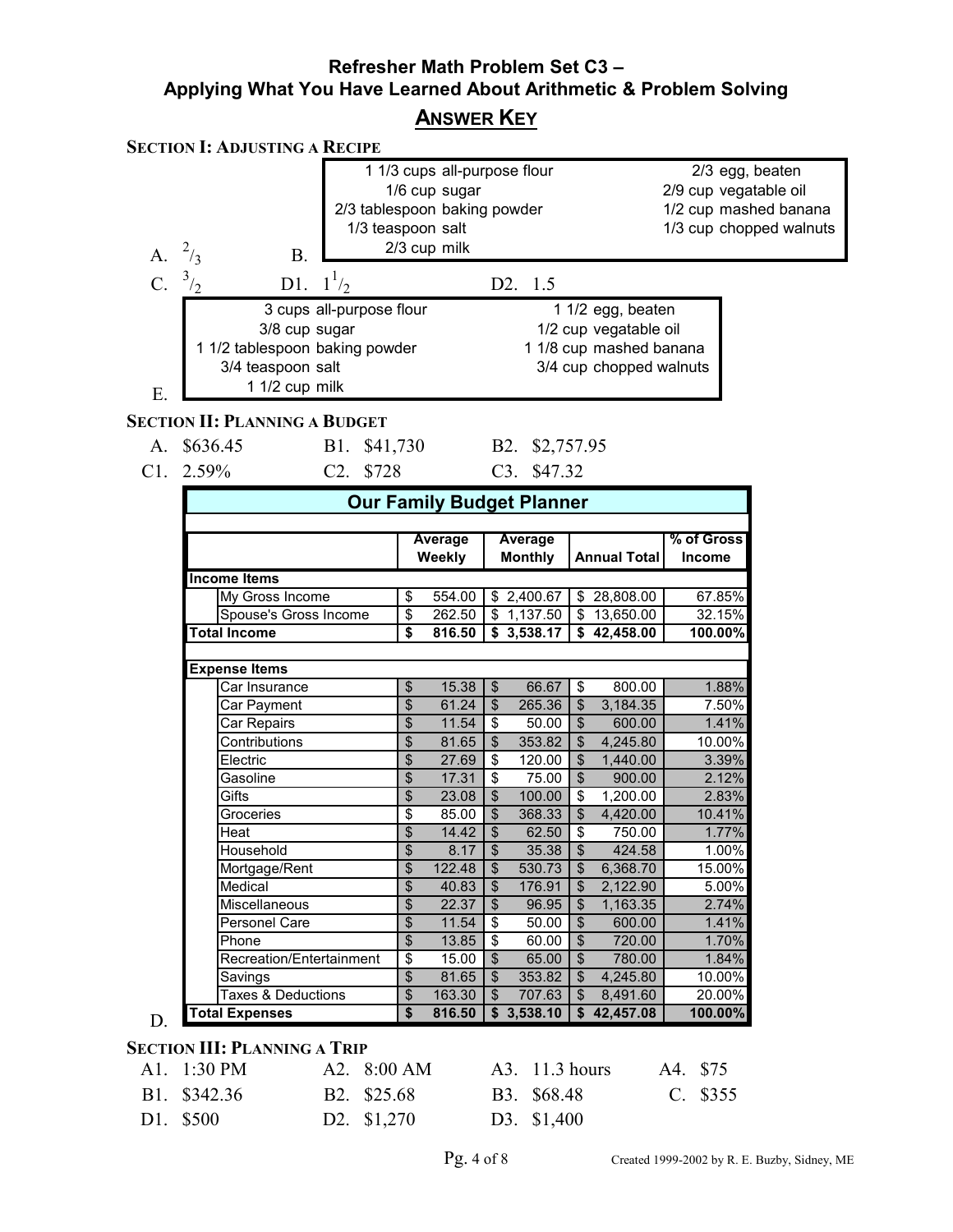**ANSWER KEY**

|                | <b>SECTION I: ADJUSTING A RECIPE</b>     |                          |                              |                                  |                                  |                           |                         |                       |                         |
|----------------|------------------------------------------|--------------------------|------------------------------|----------------------------------|----------------------------------|---------------------------|-------------------------|-----------------------|-------------------------|
|                |                                          |                          | 1 1/3 cups all-purpose flour |                                  |                                  |                           |                         |                       | 2/3 egg, beaten         |
|                |                                          |                          | 1/6 cup sugar                |                                  |                                  |                           |                         | 2/9 cup vegatable oil |                         |
|                |                                          |                          | 2/3 tablespoon baking powder |                                  |                                  |                           |                         |                       | 1/2 cup mashed banana   |
|                |                                          |                          | 1/3 teaspoon salt            |                                  |                                  |                           |                         |                       | 1/3 cup chopped walnuts |
| A. $^{2}/_{3}$ | <b>B.</b>                                |                          | 2/3 cup milk                 |                                  |                                  |                           |                         |                       |                         |
| C. $3/2$       | D1. $1^{1/2}$                            |                          |                              |                                  | D <sub>2</sub> . 1.5             |                           |                         |                       |                         |
|                | 3 cups all-purpose flour                 |                          |                              |                                  |                                  |                           | 1 1/2 egg, beaten       |                       |                         |
|                | 3/8 cup sugar                            |                          |                              |                                  |                                  |                           | 1/2 cup vegatable oil   |                       |                         |
|                | 1 1/2 tablespoon baking powder           |                          |                              |                                  |                                  |                           | 1 1/8 cup mashed banana |                       |                         |
|                | 3/4 teaspoon salt                        |                          |                              |                                  |                                  |                           | 3/4 cup chopped walnuts |                       |                         |
| Ε.             | 1 1/2 cup milk                           |                          |                              |                                  |                                  |                           |                         |                       |                         |
|                | <b>SECTION II: PLANNING A BUDGET</b>     |                          |                              |                                  |                                  |                           |                         |                       |                         |
|                |                                          |                          |                              |                                  |                                  |                           |                         |                       |                         |
|                | A. \$636.45<br>B1. \$41,730              |                          |                              |                                  | B2. \$2,757.95                   |                           |                         |                       |                         |
| $C1. 2.59\%$   | \$728<br>$C2$ .                          |                          |                              |                                  | C3. \$47.32                      |                           |                         |                       |                         |
|                |                                          |                          |                              |                                  | <b>Our Family Budget Planner</b> |                           |                         |                       |                         |
|                |                                          |                          |                              |                                  |                                  |                           |                         |                       |                         |
|                |                                          |                          | Average<br>Weekly            |                                  | Average<br><b>Monthly</b>        |                           | <b>Annual Total</b>     | % of Gross<br>Income  |                         |
|                | <b>Income Items</b>                      |                          |                              |                                  |                                  |                           |                         |                       |                         |
|                | My Gross Income                          | \$                       | 554.00                       |                                  | \$2,400.67                       |                           | \$28,808.00             | 67.85%                |                         |
|                | Spouse's Gross Income                    | \$                       | 262.50                       |                                  | \$1,137.50                       |                           | \$13,650.00             | 32.15%                |                         |
|                | <b>Total Income</b>                      | \$                       | 816.50                       |                                  | \$3,538.17                       |                           | $\overline{42,458.00}$  | 100.00%               |                         |
|                | <b>Expense Items</b>                     |                          |                              |                                  |                                  |                           |                         |                       |                         |
|                | Car Insurance                            | \$                       | 15.38                        | $\frac{1}{2}$                    | 66.67                            | \$                        | 800.00                  | 1.88%                 |                         |
|                | Car Payment                              | \$                       | 61.24                        | \$                               | 265.36                           | \$                        | 3,184.35                | 7.50%                 |                         |
|                | Car Repairs                              | \$                       |                              |                                  |                                  |                           | 600.00                  | 1.41%                 |                         |
|                |                                          |                          | 11.54                        | \$                               | 50.00                            | \$                        |                         |                       |                         |
|                | Contributions                            | \$                       | 81.65                        | $\frac{1}{2}$                    | 353.82                           | \$                        | 4,245.80                | 10.00%                |                         |
|                | Electric                                 | \$                       | 27.69                        | \$                               | 120.00                           | \$                        | 1,440.00                | 3.39%                 |                         |
|                | Gasoline                                 | \$                       | 17.31                        | $\overline{\boldsymbol{\theta}}$ | 75.00                            | $\mathcal{S}$             | 900.00                  | 2.12%                 |                         |
|                | Gifts                                    | $\mathfrak{S}$           | 23.08                        | $\overline{\theta}$              | 100.00                           |                           | 1,200.00                | 2.83%                 |                         |
|                | Groceries                                | \$                       | 85.00                        | $\overline{\mathcal{S}}$         | 368.33                           | $\overline{\mathcal{S}}$  | 4,420.00                | 10.41%                |                         |
|                | Heat                                     | $\overline{\mathcal{L}}$ | 14.42                        | $\overline{\$}$                  | 62.50                            | $\overline{\$}$           | 750.00                  | 1.77%                 |                         |
|                | Household                                | \$                       | 8.17                         | $\frac{1}{2}$                    | 35.38                            | \$                        | 424.58                  | 1.00%                 |                         |
|                | Mortgage/Rent                            | \$                       | 122.48                       | \$                               | 530.73                           | \$                        | 6,368.70                | 15.00%                |                         |
|                | Medical                                  | \$                       | 40.83                        | $\frac{1}{2}$                    | 176.91                           | $\boldsymbol{\mathsf{s}}$ | 2,122.90                | 5.00%                 |                         |
|                | Miscellaneous                            | \$                       | 22.37                        | \$                               | 96.95                            | $\boldsymbol{\mathsf{s}}$ | 1,163.35                | 2.74%                 |                         |
|                | Personel Care                            | \$                       | 11.54                        | \$                               | 50.00                            | \$                        | 600.00                  | 1.41%                 |                         |
|                | Phone                                    | \$                       | 13.85                        | \$                               | 60.00                            | \$                        | 720.00                  | 1.70%                 |                         |
|                | Recreation/Entertainment                 | \$                       | 15.00                        | $\mathfrak{S}$                   | 65.00                            | \$                        | 780.00                  | 1.84%                 |                         |
|                | Savings<br><b>Taxes &amp; Deductions</b> | \$<br>\$                 | 81.65<br>163.30              | \$<br>\$                         | 353.82<br>707.63                 | \$<br>$\$\$               | 4,245.80<br>8,491.60    | 10.00%<br>20.00%      |                         |

| A1. 1:30 PM  | A2.8:00 AM               | $A3.11.3$ hours | A4. S75  |
|--------------|--------------------------|-----------------|----------|
| B1. \$342.36 | B <sub>2</sub> . \$25.68 | B3. \$68.48     | C. \$355 |
| D1. \$500    | D <sub>2</sub> . \$1,270 | D3. \$1,400     |          |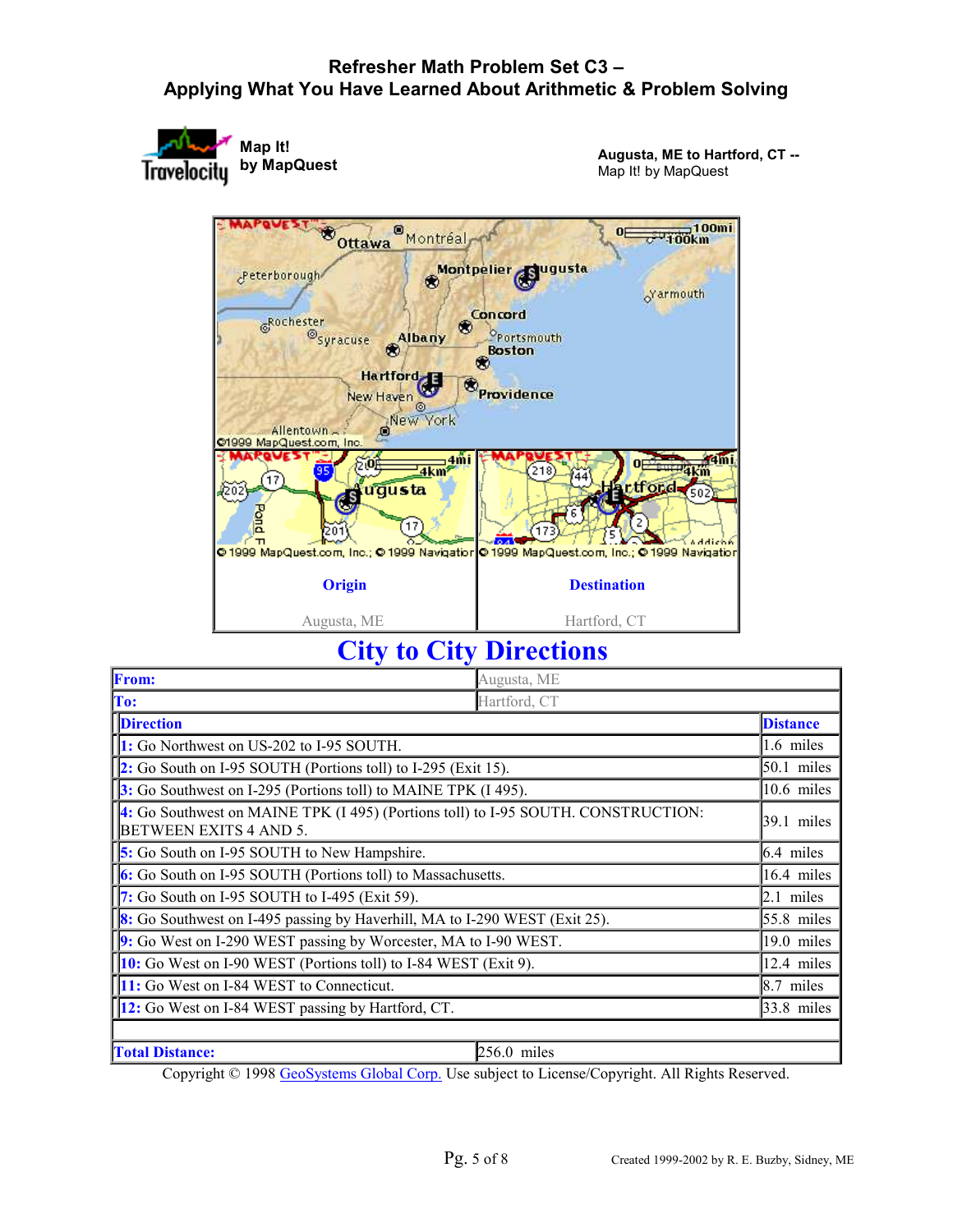

**by MapQuest Augusta, ME to Hartford, CT --**  Map It! by MapQuest



**City to City Directions** 

| From:                                                                                                              | Augusta, ME |              |  |  |  |
|--------------------------------------------------------------------------------------------------------------------|-------------|--------------|--|--|--|
| To:<br>Hartford, CT                                                                                                |             |              |  |  |  |
| <b>Direction</b>                                                                                                   |             |              |  |  |  |
| 1: Go Northwest on US-202 to I-95 SOUTH.                                                                           |             |              |  |  |  |
| 2: Go South on I-95 SOUTH (Portions toll) to I-295 (Exit 15).                                                      |             |              |  |  |  |
| 3: Go Southwest on I-295 (Portions toll) to MAINE TPK (I 495).                                                     |             | $10.6$ miles |  |  |  |
| 4: Go Southwest on MAINE TPK (I 495) (Portions toll) to I-95 SOUTH. CONSTRUCTION:<br><b>BETWEEN EXITS 4 AND 5.</b> |             |              |  |  |  |
| 5: Go South on I-95 SOUTH to New Hampshire.                                                                        |             |              |  |  |  |
| <b>6:</b> Go South on I-95 SOUTH (Portions toll) to Massachusetts.                                                 |             |              |  |  |  |
| 7: Go South on I-95 SOUTH to I-495 (Exit 59).                                                                      |             | 2.1 miles    |  |  |  |
| 8: Go Southwest on I-495 passing by Haverhill, MA to I-290 WEST (Exit 25).                                         |             |              |  |  |  |
| 9: Go West on I-290 WEST passing by Worcester, MA to I-90 WEST.                                                    |             | 19.0 miles   |  |  |  |
| <b>10:</b> Go West on I-90 WEST (Portions toll) to I-84 WEST (Exit 9).                                             |             |              |  |  |  |
| <b>11:</b> Go West on I-84 WEST to Connecticut.                                                                    |             |              |  |  |  |
| <b>12:</b> Go West on I-84 WEST passing by Hartford, CT.                                                           |             | 33.8 miles   |  |  |  |
|                                                                                                                    |             |              |  |  |  |

**Total Distance:** 256.0 miles

Copyright © 1998 GeoSystems Global Corp. Use subject to License/Copyright. All Rights Reserved.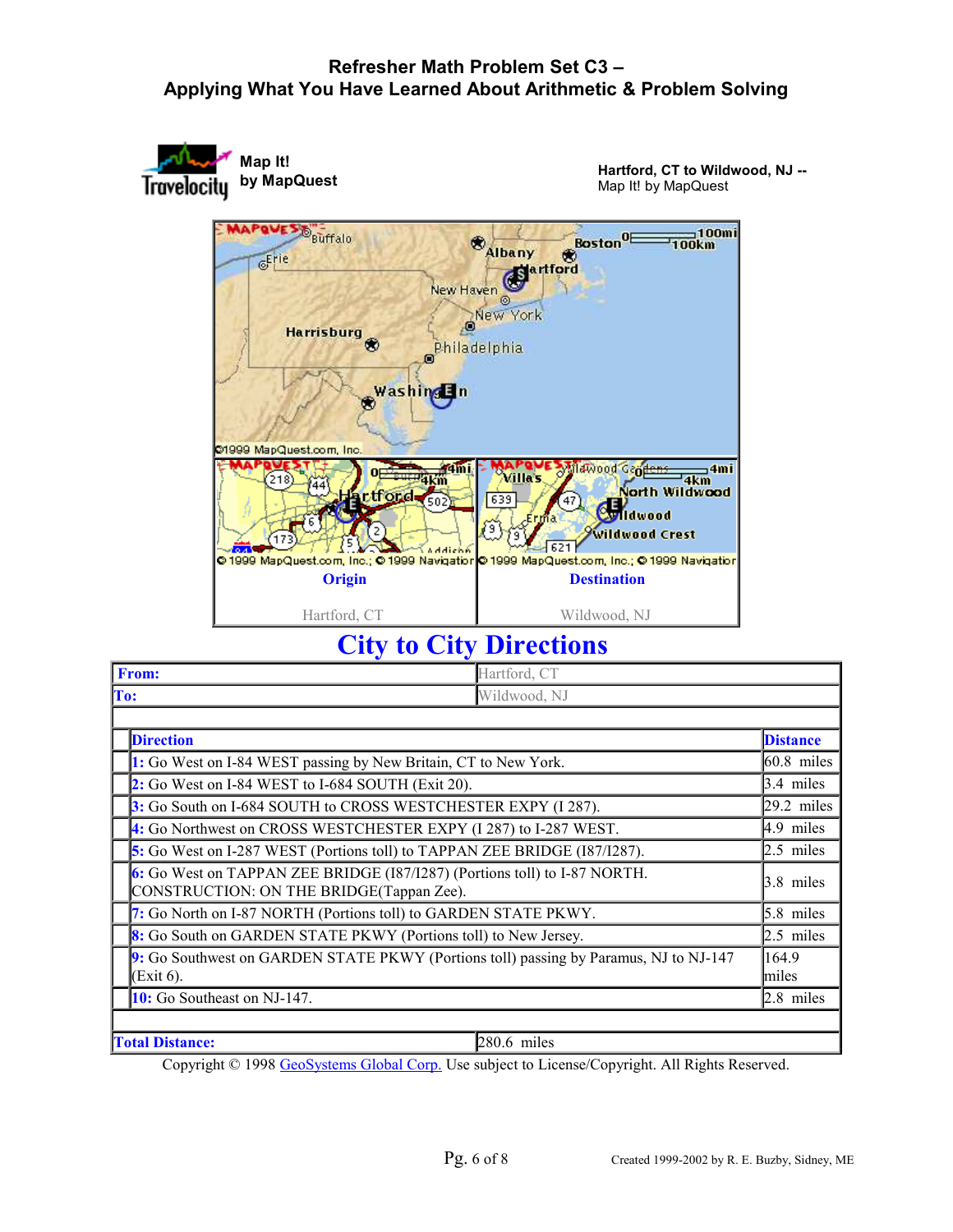

| ттош: |                                                                                                                       | панони, с і |                 |  |  |  |
|-------|-----------------------------------------------------------------------------------------------------------------------|-------------|-----------------|--|--|--|
| To:   | Wildwood, NJ                                                                                                          |             |                 |  |  |  |
|       |                                                                                                                       |             |                 |  |  |  |
|       | <b>Direction</b>                                                                                                      |             | <b>Distance</b> |  |  |  |
|       | 1: Go West on I-84 WEST passing by New Britain, CT to New York.                                                       |             |                 |  |  |  |
|       | 2: Go West on I-84 WEST to I-684 SOUTH (Exit 20).                                                                     |             |                 |  |  |  |
|       | 3: Go South on I-684 SOUTH to CROSS WESTCHESTER EXPY (I 287).                                                         |             | $29.2$ miles    |  |  |  |
|       | 4: Go Northwest on CROSS WESTCHESTER EXPY (I 287) to I-287 WEST.                                                      |             |                 |  |  |  |
|       | 5: Go West on I-287 WEST (Portions toll) to TAPPAN ZEE BRIDGE (187/1287).                                             |             |                 |  |  |  |
|       | 6: Go West on TAPPAN ZEE BRIDGE (187/1287) (Portions toll) to I-87 NORTH.<br>CONSTRUCTION: ON THE BRIDGE(Tappan Zee). |             |                 |  |  |  |
|       | 7: Go North on I-87 NORTH (Portions toll) to GARDEN STATE PKWY.                                                       |             |                 |  |  |  |
|       | 8: Go South on GARDEN STATE PKWY (Portions toll) to New Jersey.                                                       |             |                 |  |  |  |
|       | 9: Go Southwest on GARDEN STATE PKWY (Portions toll) passing by Paramus, NJ to NJ-147<br>(Exit 6).                    |             | 164.9<br>miles  |  |  |  |
|       | 10: Go Southeast on NJ-147.                                                                                           |             | 2.8 miles       |  |  |  |
|       |                                                                                                                       |             |                 |  |  |  |

**Total Distance:** 280.6 miles

Copyright © 1998 [GeoSystems Global Corp.](http://www.mapquest.com/cgi-bin/mqhome?link=am_copyright_page) Use subject to License/Copyright. All Rights Reserved.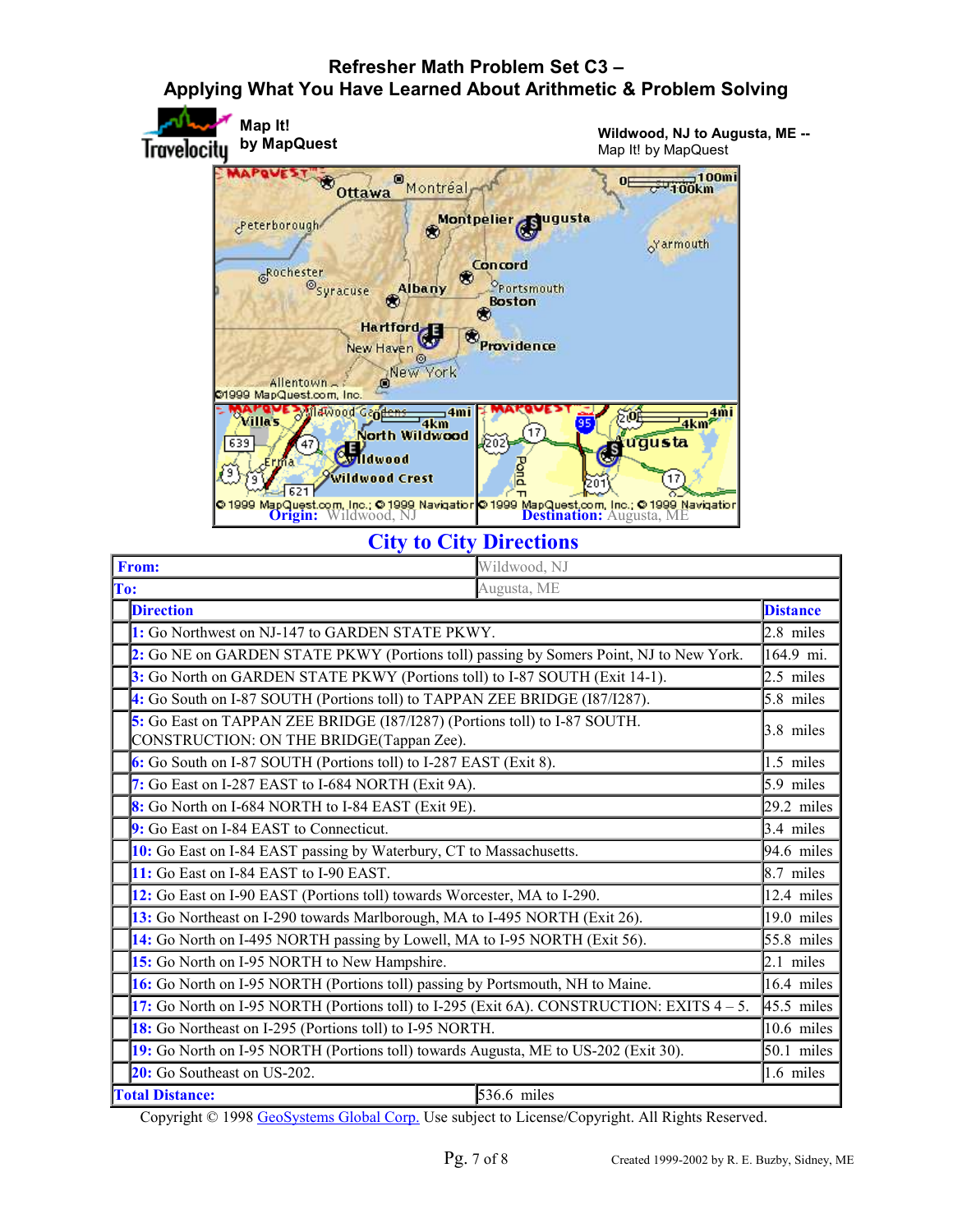

# **City to City Directions**

| From:                                                                                      | Wildwood, NJ                                                                                                          |                 |  |  |  |  |
|--------------------------------------------------------------------------------------------|-----------------------------------------------------------------------------------------------------------------------|-----------------|--|--|--|--|
| To:                                                                                        | Augusta, ME                                                                                                           |                 |  |  |  |  |
| <b>Direction</b>                                                                           |                                                                                                                       | <b>Distance</b> |  |  |  |  |
| 1: Go Northwest on NJ-147 to GARDEN STATE PKWY.                                            |                                                                                                                       | 2.8 miles       |  |  |  |  |
| 2: Go NE on GARDEN STATE PKWY (Portions toll) passing by Somers Point, NJ to New York.     |                                                                                                                       | 164.9 mi.       |  |  |  |  |
| 3: Go North on GARDEN STATE PKWY (Portions toll) to I-87 SOUTH (Exit 14-1).                |                                                                                                                       |                 |  |  |  |  |
| 4: Go South on I-87 SOUTH (Portions toll) to TAPPAN ZEE BRIDGE (187/1287).                 |                                                                                                                       | 5.8 miles       |  |  |  |  |
|                                                                                            | 5: Go East on TAPPAN ZEE BRIDGE (I87/I287) (Portions toll) to I-87 SOUTH.<br>CONSTRUCTION: ON THE BRIDGE(Tappan Zee). |                 |  |  |  |  |
| 6: Go South on I-87 SOUTH (Portions toll) to I-287 EAST (Exit 8).                          |                                                                                                                       | 1.5 miles       |  |  |  |  |
| 7: Go East on I-287 EAST to I-684 NORTH (Exit 9A).                                         |                                                                                                                       | 5.9 miles       |  |  |  |  |
| 8: Go North on I-684 NORTH to I-84 EAST (Exit 9E).                                         |                                                                                                                       | 29.2 miles      |  |  |  |  |
| 9: Go East on I-84 EAST to Connecticut.                                                    |                                                                                                                       | 3.4 miles       |  |  |  |  |
| 10: Go East on I-84 EAST passing by Waterbury, CT to Massachusetts.                        |                                                                                                                       | 94.6 miles      |  |  |  |  |
| <b>11:</b> Go East on I-84 EAST to I-90 EAST.                                              |                                                                                                                       | 8.7 miles       |  |  |  |  |
| 12: Go East on I-90 EAST (Portions toll) towards Worcester, MA to I-290.                   |                                                                                                                       | 12.4 miles      |  |  |  |  |
| 13: Go Northeast on I-290 towards Marlborough, MA to I-495 NORTH (Exit 26).                |                                                                                                                       | 19.0 miles      |  |  |  |  |
| 14: Go North on I-495 NORTH passing by Lowell, MA to I-95 NORTH (Exit 56).                 |                                                                                                                       | 55.8 miles      |  |  |  |  |
| 15: Go North on I-95 NORTH to New Hampshire.                                               |                                                                                                                       | 2.1 miles       |  |  |  |  |
| 16: Go North on I-95 NORTH (Portions toll) passing by Portsmouth, NH to Maine.             |                                                                                                                       | 16.4 miles      |  |  |  |  |
| 17: Go North on I-95 NORTH (Portions toll) to I-295 (Exit 6A). CONSTRUCTION: EXITS $4-5$ . |                                                                                                                       | $45.5$ miles    |  |  |  |  |
| 18: Go Northeast on I-295 (Portions toll) to I-95 NORTH.                                   |                                                                                                                       | 10.6 miles      |  |  |  |  |
| 19: Go North on I-95 NORTH (Portions toll) towards Augusta, ME to US-202 (Exit 30).        |                                                                                                                       | 50.1 miles      |  |  |  |  |
| 20: Go Southeast on US-202.                                                                |                                                                                                                       | 1.6 miles       |  |  |  |  |
| <b>Total Distance:</b>                                                                     | 536.6 miles                                                                                                           |                 |  |  |  |  |

Copyright © 1998 [GeoSystems Global Corp.](http://www.mapquest.com/cgi-bin/mqhome?link=am_copyright_page) Use subject to License/Copyright. All Rights Reserved.